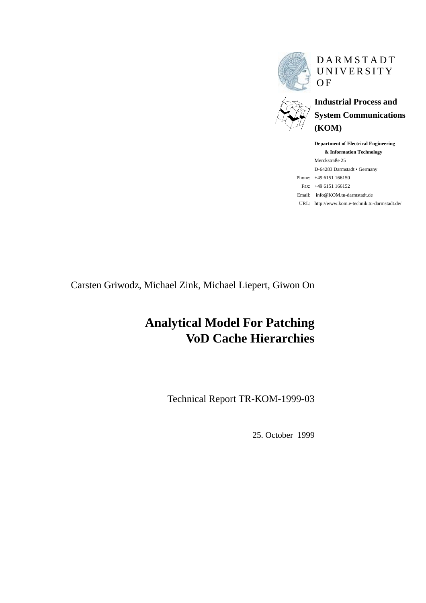

DARMSTADT UNIVERSITY **OF** 

**Industrial Process and System Communications (KOM)**

**Department of Electrical Engineering & Information Technology** Merckstraße 25 D-64283 Darmstadt • Germany Phone: +49 6151 166150 Fax: +49 6151 166152 Email: info@KOM.tu-darmstadt.de URL: http://www.kom.e-technik.tu-darmstadt.de/

Carsten Griwodz, Michael Zink, Michael Liepert, Giwon On

# **Analytical Model For Patching VoD Cache Hierarchies**

Technical Report TR-KOM-1999-03

25. October 1999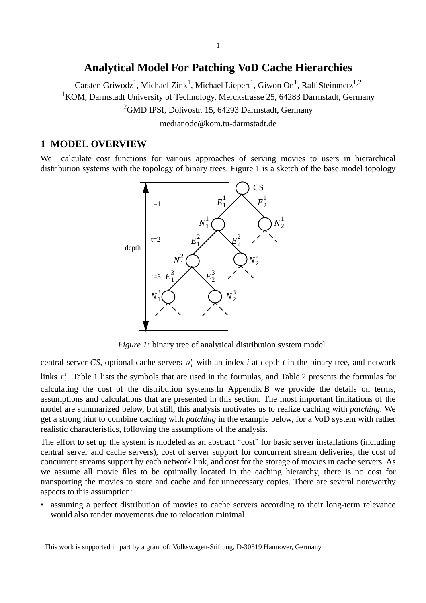# **Analytical Model For Patching VoD Cache Hierarchies**

<span id="page-1-0"></span>Carsten Griwodz<sup>1</sup>, Michael Zink<sup>1</sup>, Michael Liepert<sup>1</sup>, Giwon On<sup>1</sup>, Ralf Steinmetz<sup>1,2</sup>

<sup>1</sup> KOM, Darmstadt University of Technology, Merckstrasse 25, 64283 Darmstadt, Germany

<sup>2</sup>GMD IPSI, Dolivostr. 15, 64293 Darmstadt, Germany

medianode@kom.tu-darmstadt.de

# **1 MODEL OVERVIEW**

We calculate cost functions for various approaches of serving movies to users in hierarchical distribution systems with the topology of binary trees. Figure 1 is a sketch of the base model topology



*Figure 1:* binary tree of analytical distribution system model

central server CS, optional cache servers  $N_i^t$  with an index *i* at depth *t* in the binary tree, and network

links  $E_i^t$ . [Table 1](#page-2-0) lists the symbols that are used in the formulas, and [Table 2](#page-3-0) presents the formulas for calculating the cost of the distribution systems.In Appendix B we provide the details on terms, assumptions and calculations that are presented in this section. The most important limitations of the model are summarized below, but still, this analysis motivates us to realize caching with *patching*. We get a strong hint to combine caching with *patching* in the example below, for a VoD system with rather realistic characteristics, following the assumptions of the analysis.

The effort to set up the system is modeled as an abstract "cost" for basic server installations (including central server and cache servers), cost of server support for concurrent stream deliveries, the cost of concurrent streams support by each network link, and cost for the storage of movies in cache servers. As we assume all movie files to be optimally located in the caching hierarchy, there is no cost for transporting the movies to store and cache and for unnecessary copies. There are several noteworthy aspects to this assumption:

• assuming a perfect distribution of movies to cache servers according to their long-term relevance would also render movements due to relocation minimal

This work is supported in part by a grant of: Volkswagen-Stiftung, D-30519 Hannover, Germany.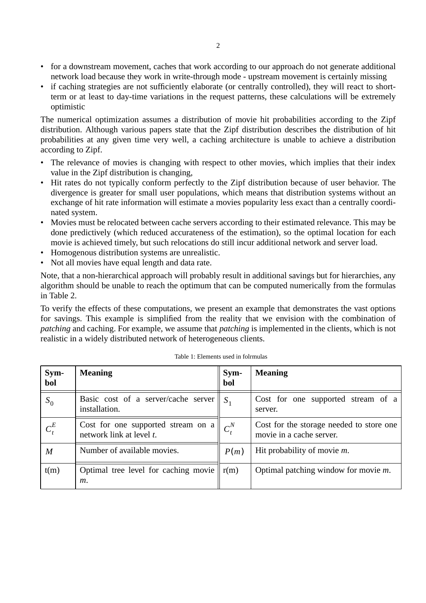- <span id="page-2-0"></span>• for a downstream movement, caches that work according to our approach do not generate additional network load because they work in write-through mode - upstream movement is certainly missing
- if caching strategies are not sufficiently elaborate (or centrally controlled), they will react to shortterm or at least to day-time variations in the request patterns, these calculations will be extremely optimistic

The numerical optimization assumes a distribution of movie hit probabilities according to the Zipf distribution. Although various papers state that the Zipf distribution describes the distribution of hit probabilities at any given time very well, a caching architecture is unable to achieve a distribution according to Zipf.

- The relevance of movies is changing with respect to other movies, which implies that their index value in the Zipf distribution is changing,
- Hit rates do not typically conform perfectly to the Zipf distribution because of user behavior. The divergence is greater for small user populations, which means that distribution systems without an exchange of hit rate information will estimate a movies popularity less exact than a centrally coordinated system.
- Movies must be relocated between cache servers according to their estimated relevance. This may be done predictively (which reduced accurateness of the estimation), so the optimal location for each movie is achieved timely, but such relocations do still incur additional network and server load.
- Homogenous distribution systems are unrealistic.
- Not all movies have equal length and data rate.

Note, that a non-hierarchical approach will probably result in additional savings but for hierarchies, any algorithm should be unable to reach the optimum that can be computed numerically from the formulas in [Table 2.](#page-3-0)

To verify the effects of these computations, we present an example that demonstrates the vast options for savings. This example is simplified from the reality that we envision with the combination of *patching* and caching. For example, we assume that *patching* is implemented in the clients, which is not realistic in a widely distributed network of heterogeneous clients.

| Sym-<br>bol    | <b>Meaning</b>                                                           | Sym-<br>bol   | <b>Meaning</b>                                                       |  |
|----------------|--------------------------------------------------------------------------|---------------|----------------------------------------------------------------------|--|
| $S_0$          | Basic cost of a server/cache server<br>installation.                     | S             | Cost for one supported stream of a<br>server.                        |  |
| $C_t^E$        | Cost for one supported stream on $a \mid$<br>network link at level $t$ . | $C_{\star}^N$ | Cost for the storage needed to store one<br>movie in a cache server. |  |
| $\overline{M}$ | Number of available movies.                                              | P(m)          | Hit probability of movie $m$ .                                       |  |
| t(m)           | Optimal tree level for caching movie $\  r(m)$<br>$m$ .                  |               | Optimal patching window for movie $m$ .                              |  |

Table 1: Elements used in folrmulas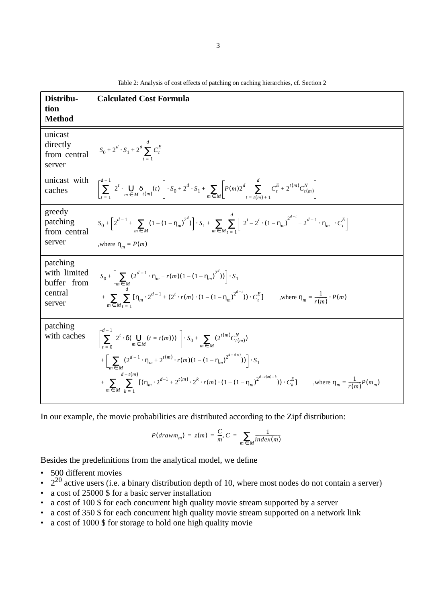<span id="page-3-0"></span>

| Distribu-<br>tion<br><b>Method</b>                           | <b>Calculated Cost Formula</b>                                                                                                                                                                                                                                                                                                                                                                                                                                               |
|--------------------------------------------------------------|------------------------------------------------------------------------------------------------------------------------------------------------------------------------------------------------------------------------------------------------------------------------------------------------------------------------------------------------------------------------------------------------------------------------------------------------------------------------------|
| unicast<br>directly<br>from central<br>server                | $S_0 + 2^d \cdot S_1 + 2^d \sum_{t=0}^{a} C_t^E$                                                                                                                                                                                                                                                                                                                                                                                                                             |
| unicast with<br>caches                                       | $\left[ \sum_{t=1}^{d-1} \left( 2^t \cdot \bigcup_{m \in M} \delta_{t(m)}(t) \right) \right] \cdot S_0 + 2^d \cdot S_1 + \sum_{m \in M} \left[ P(m) 2^d \sum_{t=t(m)+1}^{\infty} C_t^E + 2^{t(m)} C_{t(m)}^N \right]$                                                                                                                                                                                                                                                        |
| greedy<br>patching<br>from central<br>server                 | $S_0 + \left[2^{d-1} + \sum_{m \in M} (1 - (1 - \eta_m)^{2^d})\right] \cdot S_1 + \sum_{m \in M} \sum_{m=1}^{\infty} \left[ \left(2^t - 2^t \cdot (1 - \eta_m)^{2^{d-t}} + 2^{d-1} \cdot \eta_m\right) \cdot C_t^E\right]$<br>,where $\eta_m = P(m)$                                                                                                                                                                                                                         |
| patching<br>with limited<br>buffer from<br>central<br>server | $S_0 + \left[ \sum_{m \in M} (2^{d-1} \cdot \eta_m + r(m)(1 - (1 - \eta_m)^{2^a})) \right] \cdot S_1$<br>$+\sum_{i=1}^{n} [\eta_m \cdot 2^{d-1} + (2^t \cdot r(m) \cdot (1 - (1 - \eta_m))^{2^{d-1}}) \cdot C_t^E]$ where $\eta_m = \frac{1}{r(m)} \cdot P(m)$                                                                                                                                                                                                               |
| patching<br>with caches                                      | $\left[ \sum_{t=0}^{n-1} \left( 2^t \cdot \delta(\bigcup_{m \in M} (t = t(m))) \right) \right] \cdot S_0 + \sum_{m \in M} \left( 2^{t(m)} C_{t(m)}^N \right)$<br>$+\left[\sum_{m\in M}(2^{d-1}\cdot \eta_m+2^{t(m)}\cdot r(m)(1-(1-\eta_m)^{2^{d-t(m)}}))\right]\cdot S_1$<br>$+\sum_{i=1}^{\infty} \sum_{m=1}^{\infty} [(\eta_m \cdot 2^{d-1} + 2^{t(m)} \cdot 2^k \cdot r(m) \cdot (1 - (1 - \eta_m))^{2^{d-t(m)-k}}) \cdot C_k^E]$ where $\eta_m = \frac{1}{r(m)} P(m_m)$ |

Table 2: Analysis of cost effects of patching on caching hierarchies, cf. [Section 2](#page-4-0)

In our example, the movie probabilities are distributed according to the Zipf distribution:

$$
P(drawm_m) = z(m) = \frac{C}{m}, C = \sum_{m \in M} \frac{1}{index(m)}
$$

Besides the predefinitions from the analytical model, we define

- 500 different movies
- $2^{20}$  active users (i.e. a binary distribution depth of 10, where most nodes do not contain a server)
- a cost of 25000 \$ for a basic server installation
- a cost of 100 \$ for each concurrent high quality movie stream supported by a server
- a cost of 350 \$ for each concurrent high quality movie stream supported on a network link
- a cost of 1000 \$ for storage to hold one high quality movie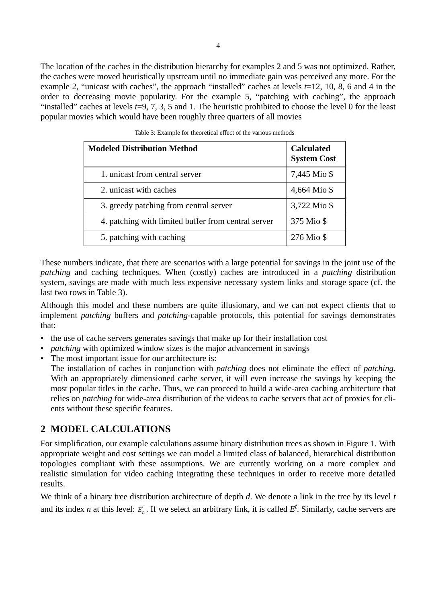<span id="page-4-0"></span>The location of the caches in the distribution hierarchy for examples 2 and 5 was not optimized. Rather, the caches were moved heuristically upstream until no immediate gain was perceived any more. For the example 2, "unicast with caches", the approach "installed" caches at levels *t*=12, 10, 8, 6 and 4 in the order to decreasing movie popularity. For the example 5, "patching with caching", the approach "installed" caches at levels  $t=9, 7, 3, 5$  and 1. The heuristic prohibited to choose the level 0 for the least popular movies which would have been roughly three quarters of all movies

| <b>Modeled Distribution Method</b>                  | <b>Calculated</b><br><b>System Cost</b> |
|-----------------------------------------------------|-----------------------------------------|
| 1. unicast from central server                      | 7,445 Mio \$                            |
| 2. unicast with caches                              | 4,664 Mio \$                            |
| 3. greedy patching from central server              | 3,722 Mio \$                            |
| 4. patching with limited buffer from central server | 375 Mio \$                              |
| 5. patching with caching                            | 276 Mio \$                              |

These numbers indicate, that there are scenarios with a large potential for savings in the joint use of the *patching* and caching techniques. When (costly) caches are introduced in a *patching* distribution system, savings are made with much less expensive necessary system links and storage space (cf. the last two rows in Table 3).

Although this model and these numbers are quite illusionary, and we can not expect clients that to implement *patching* buffers and *patching*-capable protocols, this potential for savings demonstrates that:

- the use of cache servers generates savings that make up for their installation cost
- *patching* with optimized window sizes is the major advancement in savings
- The most important issue for our architecture is:

The installation of caches in conjunction with *patching* does not eliminate the effect of *patching*. With an appropriately dimensioned cache server, it will even increase the savings by keeping the most popular titles in the cache. Thus, we can proceed to build a wide-area caching architecture that relies on *patching* for wide-area distribution of the videos to cache servers that act of proxies for clients without these specific features.

# **2 MODEL CALCULATIONS**

For simplification, our example calculations assume binary distribution trees as shown in [Figure 1](#page-1-0). With appropriate weight and cost settings we can model a limited class of balanced, hierarchical distribution topologies compliant with these assumptions. We are currently working on a more complex and realistic simulation for video caching integrating these techniques in order to receive more detailed results.

We think of a binary tree distribution architecture of depth *d*. We denote a link in the tree by its level *t* and its index *n* at this level:  $E_n^t$ . If we select an arbitrary link, it is called  $E^t$ . Similarly, cache servers are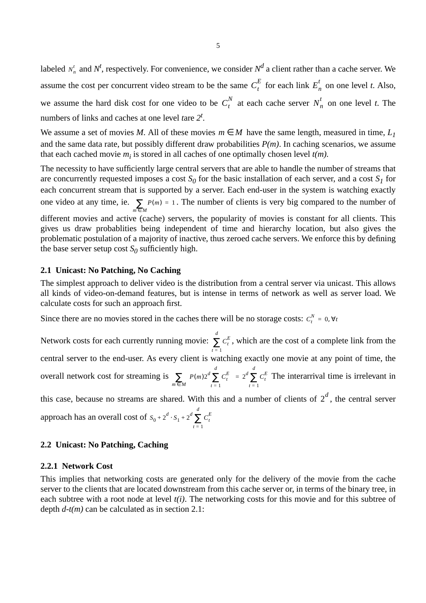<span id="page-5-0"></span>labeled  $N_n^t$  and  $N_t^t$ , respectively. For convenience, we consider  $N^d$  a client rather than a cache server. We assume the cost per concurrent video stream to be the same  $C_t^E$  for each link  $E_n^t$  on one level *t*. Also, we assume the hard disk cost for one video to be  $C_t^N$  at each cache server  $N_n^t$  on one level *t*. The numbers of links and caches at one level *t*are *2<sup>t</sup>* .

We assume a set of movies *M*. All of these movies  $m \in M$  have the same length, measured in time,  $L_1$ and the same data rate, but possibly different draw probabilities  $P(m)$ . In caching scenarios, we assume that each cached movie  $m_i$  is stored in all caches of one optimally chosen level  $t(m)$ .

The necessity to have sufficiently large central servers that are able to handle the number of streams that are concurrently requested imposes a cost  $S_0$  for the basic installation of each server, and a cost  $S_1$  for each concurrent stream that is supported by a server. Each end-user in the system is watching exactly one video at any time, ie.  $\sum P(m) = 1$ . The number of clients is very big compared to the number of different movies and active (cache) servers, the popularity of movies is constant for all clients. This gives us draw probablities being independent of time and hierarchy location, but also gives the problematic postulation of a majority of inactive, thus zeroed cache servers. We enforce this by defining the base server setup cost  $S_0$  sufficiently high.  $\sum_{m \in M} P(m) = 1$ 

# **2.1 Unicast: No Patching, No Caching**

The simplest approach to deliver video is the distribution from a central server via unicast. This allows all kinds of video-on-demand features, but is intense in terms of network as well as server load. We calculate costs for such an approach first.

Since there are no movies stored in the caches there will be no storage costs:  $C_t^N = 0$ ,  $\forall t$ 

Network costs for each currently running movie:  $\sum_{i} C_i^E$ , which are the cost of a complete link from the central server to the end-user. As every client is watching exactly one movie at any point of time, the overall network cost for streaming is  $\sum_{i=1}^{\infty} \left[ P(m) 2^d \sum_{i=1}^d C_i^E \right] = 2^d \sum_{i=1}^d C_i^E$  The interarrival time is irrelevant in *t* = 1 *d* ∑ *t* = 1  $\sum_{m \in M} \left( P(m) 2^d \sum_{t=1}^d C_t^E \right) = 2^d \sum_{t=1}^d C_t^E$ *t* = 1 *d*  $= 2^d \sum$ 

this case, because no streams are shared. With this and a number of clients of  $2^d$ , the central server approach has an overall cost of  $s_0 + 2^d \cdot s_1 + 2^d \sum_i C_i^E$ *t* = 1 *d*  $+ 2^d \sum$ 

#### **2.2 Unicast: No Patching, Caching**

#### **2.2.1 Network Cost**

This implies that networking costs are generated only for the delivery of the movie from the cache server to the clients that are located downstream from this cache server or, in terms of the binary tree, in each subtree with a root node at level *t(i)*. The networking costs for this movie and for this subtree of depth *d-t(m)* can be calculated as in section 2.1: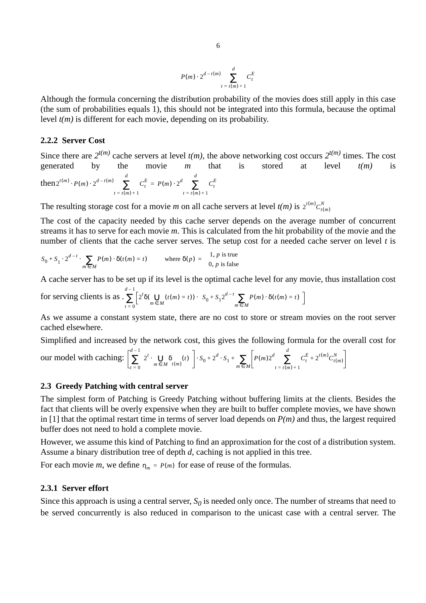$$
P(m) \cdot 2^{d-t(m)} \sum_{t = t(m)+1}^{d} C_t^E
$$

<span id="page-6-0"></span>Although the formula concerning the distribution probability of the movies does still apply in this case (the sum of probabilities equals 1), this should not be integrated into this formula, because the optimal level *t(m)* is different for each movie, depending on its probability.

## **2.2.2 Server Cost**

Since there are  $2^{t(m)}$  cache servers at level  $t(m)$ , the above networking cost occurs  $2^{t(m)}$  times. The cost generated by the movie *m* that is stored at level *t(m)* is  ${\rm then } 2^{t(m)} \cdot P(m) \cdot 2^{d-t(m)}$   $\sum C_t^E$  $t = t(m) + 1$ *d*  $\cdot P(m) \cdot 2^{d-t(m)}$   $\sum C_t^E = P(m) \cdot 2^d$   $\sum C_t^E$  $t = t(m) + 1$ *d*  $= P(m) \cdot 2^d$   $\sum$ 

The resulting storage cost for a movie *m* on all cache servers at level  $t(m)$  is  $2^{t(m)}C_{t(m)}^N$ 

The cost of the capacity needed by this cache server depends on the average number of concurrent streams it has to serve for each movie *m*. This is calculated from the hit probability of the movie and the number of clients that the cache server serves. The setup cost for a needed cache server on level *t* is

$$
S_0 + S_1 \cdot 2^{d-t} \cdot \sum_{m \in M} P(m) \cdot \delta(t(m) = t) \qquad \text{where } \delta(p) = \begin{cases} 1, p \text{ is true} \\ 0, p \text{ is false} \end{cases}
$$

A cache server has to be set up if its level is the optimal cache level for any movie, thus installation cost

for serving clients is as 
$$
\sum_{t=0}^{d-1} \left[ 2^t \delta(\bigcup_{m \in M} (t(m) = t)) \cdot \left( S_0 + S_1 2^{d-t} \sum_{m \in M} P(m) \cdot \delta(t(m) = t) \right) \right]
$$

As we assume a constant system state, there are no cost to store or stream movies on the root server cached elsewhere.

Simplified and increased by the network cost, this gives the following formula for the overall cost for

our model with caching: 
$$
\left[\sum_{t=0}^{d-1} \left(2^t \cdot \bigcup_{m \in M} \delta_{t(m)}(t)\right)\right] \cdot S_0 + 2^d \cdot S_1 + \sum_{m \in M} \left[P(m)2^d \sum_{t=t(m)+1}^d C_t^E + 2^{t(m)} C_{t(m)}^N\right]
$$

#### **2.3 Greedy Patching with central server**

The simplest form of Patching is Greedy Patching without buffering limits at the clients. Besides the fact that clients will be overly expensive when they are built to buffer complete movies, we have shown in [\[1\]](#page-9-0) that the optimal restart time in terms of server load depends on  $P(m)$  and thus, the largest required buffer does not need to hold a complete movie.

However, we assume this kind of Patching to find an approximation for the cost of a distribution system. Assume a binary distribution tree of depth *d*, caching is not applied in this tree.

For each movie *m*, we define  $\eta_m = P(m)$  for ease of reuse of the formulas.

# **2.3.1 Server effort**

Since this approach is using a central server,  $S_0$  is needed only once. The number of streams that need to be served concurrently is also reduced in comparison to the unicast case with a central server. The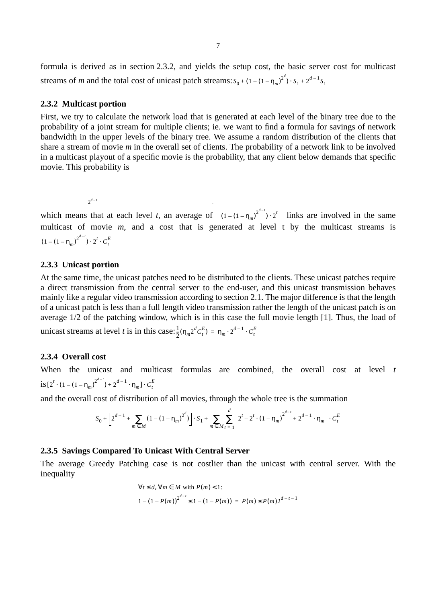<span id="page-7-0"></span>formula is derived as in section 2.3.2, and yields the setup cost, the basic server cost for multicast streams of *m* and the total cost of unicast patch streams:  $S_0 + (1 - (1 - \eta_m)^{2^d}) \cdot S_1 + 2^{d-1} S_1$ 

## **2.3.2 Multicast portion**

First, we try to calculate the network load that is generated at each level of the binary tree due to the probability of a joint stream for multiple clients; ie. we want to find a formula for savings of network bandwidth in the upper levels of the binary tree. We assume a random distribution of the clients that share a stream of movie *m* in the overall set of clients. The probability of a network link to be involved in a multicast playout of a specific movie is the probability, that any client below demands that specific movie. This probability is

 $2^{d - t}$ 

which means that at each level *t*, an average of  $(1 - (1 - \eta_m)^{2^{d-1}}) \cdot 2^t$  links are involved in the same multicast of movie *m*, and a cost that is generated at level t by the multicast streams is  $(1 - (1 - \eta_m)^{2^{d-t}}) \cdot 2^t \cdot C_t^E$ 

*d*

# **2.3.3 Unicast portion**

At the same time, the unicast patches need to be distributed to the clients. These unicast patches require a direct transmission from the central server to the end-user, and this unicast transmission behaves mainly like a regular video transmission according to [section 2.1.](#page-5-0) The major difference is that the length of a unicast patch is less than a full length video transmission rather the length of the unicast patch is on average 1/2 of the patching window, which is in this case the full movie length [\[1\].](#page-9-0) Thus, the load of unicast streams at level *t* is in this case:  $\frac{1}{2}$  $\frac{1}{2}(\eta_m 2^d C_t^E) = \eta_m \cdot 2^{d-1} \cdot C_t^E$ 

# **2.3.4 Overall cost**

When the unicast and multicast formulas are combined, the overall cost at level *t*  $\int \int_0^t \left( 1 - (1 - \eta_m) \right)^{2^{d-t}} + 2^{d-1} \cdot \eta_m \right] \cdot C_t^E$ 

and the overall cost of distribution of all movies, through the whole tree is the summation

$$
S_0 + \left[2^{d-1} + \sum_{m \in M} (1 - (1 - \eta_m)^{2^d})\right] \cdot S_1 + \sum_{m \in M} \sum_{t=1}^d \left(2^t - 2^t \cdot (1 - \eta_m)^{2^{d-t}} + 2^{d-1} \cdot \eta_m\right) \cdot C_t^E
$$

# **2.3.5 Savings Compared To Unicast With Central Server**

The average Greedy Patching case is not costlier than the unicast with central server. With the inequality

$$
\forall t \le d, \forall m \in M \text{ with } P(m) < 1:
$$
\n
$$
1 - (1 - P(m))^{2^{d-1}} \le 1 - (1 - P(m)) = P(m) \le P(m) 2^{d - t - 1}
$$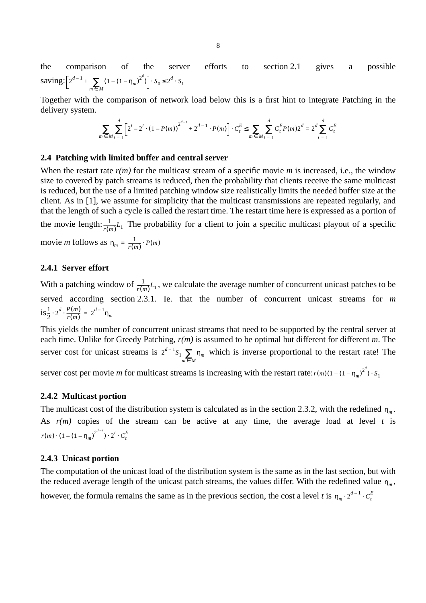<span id="page-8-0"></span>the comparison of the server efforts to [section 2.1](#page-5-0) gives a possible saving:  $\left[2^{d-1} + \sum (1 - (1 - \eta_m)^{2^d})\right]$  $+\sum_{m \in M} (1 - (1 - \eta_m)^{2^{a}}) \cdot S_0 \leq 2^{d} \cdot S_1$ 

Together with the comparison of network load below this is a first hint to integrate Patching in the delivery system.

$$
\sum_{m \in M} \sum_{t=1}^{d} \left[ 2^{t} - 2^{t} \cdot (1 - P(m)) \right]^{2^{d-t}} + 2^{d-1} \cdot P(m) \cdot C_{t}^{E} \le \sum_{m \in M} \sum_{t=1}^{d} C_{t}^{E} P(m) 2^{d} = 2^{d} \sum_{t=1}^{d} C_{t}^{E}
$$

#### **2.4 Patching with limited buffer and central server**

When the restart rate  $r(m)$  for the multicast stream of a specific movie *m* is increased, i.e., the window size to covered by patch streams is reduced, then the probability that clients receive the same multicast is reduced, but the use of a limited patching window size realistically limits the needed buffer size at the client. As in [\[1\]](#page-9-0), we assume for simplicity that the multicast transmissions are repeated regularly, and that the length of such a cycle is called the restart time. The restart time here is expressed as a portion of the movie length:  $\frac{1}{r(m)}L_1$  The probability for a client to join a specific multicast playout of a specific movie *m* follows as  $n_m = \frac{1}{r(m)} \cdot P(m)$ 

#### **2.4.1 Server effort**

With a patching window of  $\frac{1}{r(m)}L_1$ , we calculate the average number of concurrent unicast patches to be served according [section 2.3.1.](#page-6-0) Ie. that the number of concurrent unicast streams for *m*  $is^1_{\overline{2}}$  $\frac{1}{2} \cdot 2^d \cdot \frac{P(m)}{r(m)} = 2^{d-1} \eta_m$ 

This yields the number of concurrent unicast streams that need to be supported by the central server at each time. Unlike for Greedy Patching, *r(m)* is assumed to be optimal but different for different *m*. The server cost for unicast streams is  $2^{d-1}S_1 \sum_{m \in M} \eta_m$  which is inverse proportional to the restart rate! The

server cost per movie *m* for multicast streams is increasing with the restart rate:  $r(m)(1-(1-\eta_m)^{2^d}) \cdot S_1$ 

### **2.4.2 Multicast portion**

The multicast cost of the distribution system is calculated as in the [section 2.3.2,](#page-7-0) with the redefined  $n_m$ . As  $r(m)$  copies of the stream can be active at any time, the average load at level  $t$  is  $r(m) \cdot (1 - (1 - \eta_m)^{2^{d-t}}) \cdot 2^t \cdot C_t^E$ 

#### **2.4.3 Unicast portion**

The computation of the unicast load of the distribution system is the same as in the last section, but with the reduced average length of the unicast patch streams, the values differ. With the redefined value  $n_m$ , however, the formula remains the same as in the previous section, the cost a level *t* is  $\eta_m \cdot 2^{d-1} \cdot C_t^E$